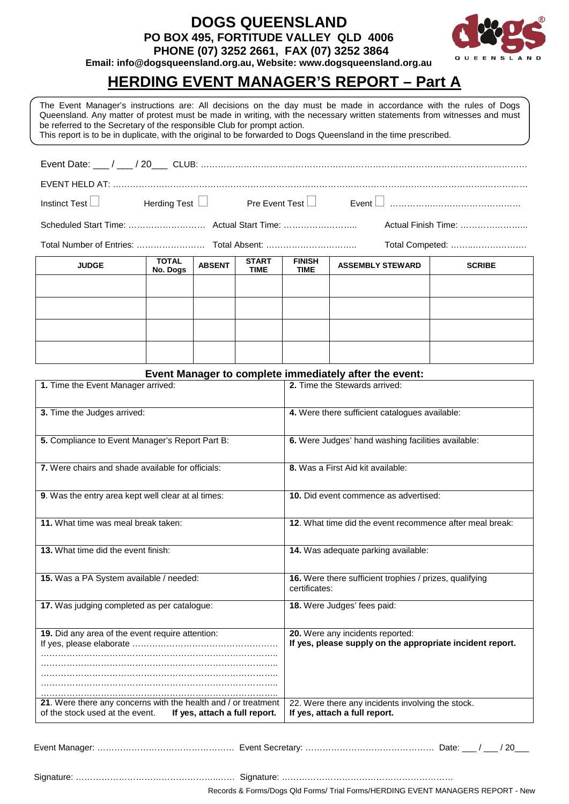**DOGS QUEENSLAND PO BOX 495, FORTITUDE VALLEY QLD 4006**



 **PHONE (07) 3252 2661, FAX (07) 3252 3864 Email: info@dogsqueensland.org.au, Website: www.dogsqueensland.org.au**

# **HERDING EVENT MANAGER'S REPORT – Part A**

The Event Manager's instructions are: All decisions on the day must be made in accordance with the rules of Dogs Queensland. Any matter of protest must be made in writing, with the necessary written statements from witnesses and must be referred to the Secretary of the responsible Club for prompt action.

This report is to be in duplicate, with the original to be forwarded to Dogs Queensland in the time prescribed.

| Actual Finish Time: |                          |               |                             |                              |                         |               |  |
|---------------------|--------------------------|---------------|-----------------------------|------------------------------|-------------------------|---------------|--|
| Total Competed:     |                          |               |                             |                              |                         |               |  |
| <b>JUDGE</b>        | <b>TOTAL</b><br>No. Dogs | <b>ABSENT</b> | <b>START</b><br><b>TIME</b> | <b>FINISH</b><br><b>TIME</b> | <b>ASSEMBLY STEWARD</b> | <b>SCRIBE</b> |  |
|                     |                          |               |                             |                              |                         |               |  |
|                     |                          |               |                             |                              |                         |               |  |
|                     |                          |               |                             |                              |                         |               |  |
|                     |                          |               |                             |                              |                         |               |  |

#### **Event Manager to complete immediately after the event:**

| 1. Time the Event Manager arrived:                                                                                                 | 2. Time the Stewards arrived:                                                                 |  |  |
|------------------------------------------------------------------------------------------------------------------------------------|-----------------------------------------------------------------------------------------------|--|--|
| 3. Time the Judges arrived:                                                                                                        | 4. Were there sufficient catalogues available:                                                |  |  |
| 5. Compliance to Event Manager's Report Part B:                                                                                    | 6. Were Judges' hand washing facilities available:                                            |  |  |
| 7. Were chairs and shade available for officials:                                                                                  | 8. Was a First Aid kit available:                                                             |  |  |
| 9. Was the entry area kept well clear at al times:                                                                                 | <b>10.</b> Did event commence as advertised:                                                  |  |  |
| 11. What time was meal break taken:                                                                                                | <b>12.</b> What time did the event recommence after meal break:                               |  |  |
| 13. What time did the event finish:                                                                                                | 14. Was adequate parking available:                                                           |  |  |
| 15. Was a PA System available / needed:                                                                                            | 16. Were there sufficient trophies / prizes, qualifying<br>certificates:                      |  |  |
| 17. Was judging completed as per catalogue:                                                                                        | <b>18.</b> Were Judges' fees paid:                                                            |  |  |
| 19. Did any area of the event require attention:                                                                                   | 20. Were any incidents reported:<br>If yes, please supply on the appropriate incident report. |  |  |
| 21. Were there any concerns with the health and / or treatment<br>of the stock used at the event.<br>If yes, attach a full report. | 22. Were there any incidents involving the stock.<br>If yes, attach a full report.            |  |  |

Event Manager: ………………………………………… Event Secretary: ……………………………………… Date: \_\_\_ / \_\_\_ / 20\_\_\_

Signature: …………………………………………..…… Signature: …………………………………………………… Records & Forms/Dogs Qld Forms/ Trial Forms/HERDING EVENT MANAGERS REPORT - New